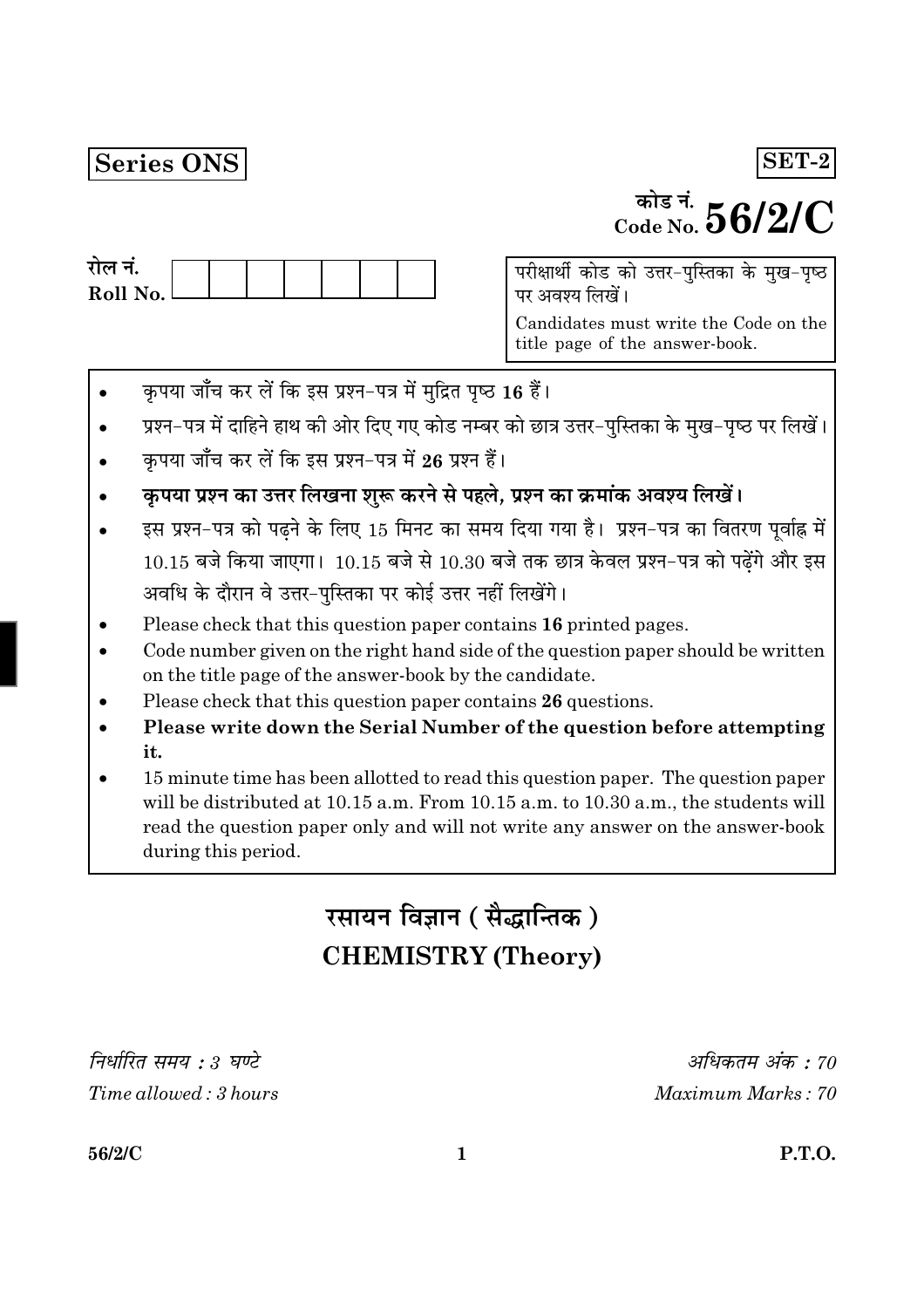## Series ONS

# <sup>कोड नं.</sup>  $56/2/C$

 $SET-2$ 

| राल न.     |  |  |  |  |
|------------|--|--|--|--|
| Roll No. l |  |  |  |  |
|            |  |  |  |  |

परीक्षार्थी कोड को उत्तर-पुस्तिका के मुख-पृष्ठ पर अवश्य लिखें।

Candidates must write the Code on the title page of the answer-book.

- कृपया जाँच कर लें कि इस प्रश्न-पत्र में मुद्रित पृष्ठ 16 हैं।
- प्रश्न-पत्र में दाहिने हाथ की ओर दिए गए कोड नम्बर को छात्र उत्तर-पुस्तिका के मुख-पृष्ठ पर लिखें।
- कपया जाँच कर लें कि इस प्रश्न-पत्र में 26 प्रश्न हैं।
- कृपया प्रश्न का उत्तर लिखना शुरू करने से पहले, प्रश्न का क्रमांक अवश्य लिखें।
- इस प्रश्न-पत्र को पढ़ने के लिए 15 मिनट का समय दिया गया है। प्रश्न-पत्र का वितरण पूर्वाह्न में  $10.15$  बजे किया जाएगा।  $10.15$  बजे से  $10.30$  बजे तक छात्र केवल प्रश्न-पत्र को पढ़ेंगे और इस अवधि के दौरान वे उत्तर-पुस्तिका पर कोई उत्तर नहीं लिखेंगे।
- Please check that this question paper contains 16 printed pages.
- Code number given on the right hand side of the question paper should be written on the title page of the answer-book by the candidate.
- Please check that this question paper contains 26 questions.
- Please write down the Serial Number of the question before attempting it.
- 15 minute time has been allotted to read this question paper. The question paper will be distributed at 10.15 a.m. From 10.15 a.m. to 10.30 a.m., the students will read the question paper only and will not write any answer on the answer-book during this period.

## रसायन विज्ञान (सैद्धान्तिक) **CHEMISTRY (Theory)**

निर्धारित समय : 3 घण्टे Time allowed: 3 hours

अधिकतम अंक : 70 Maximum Marks: 70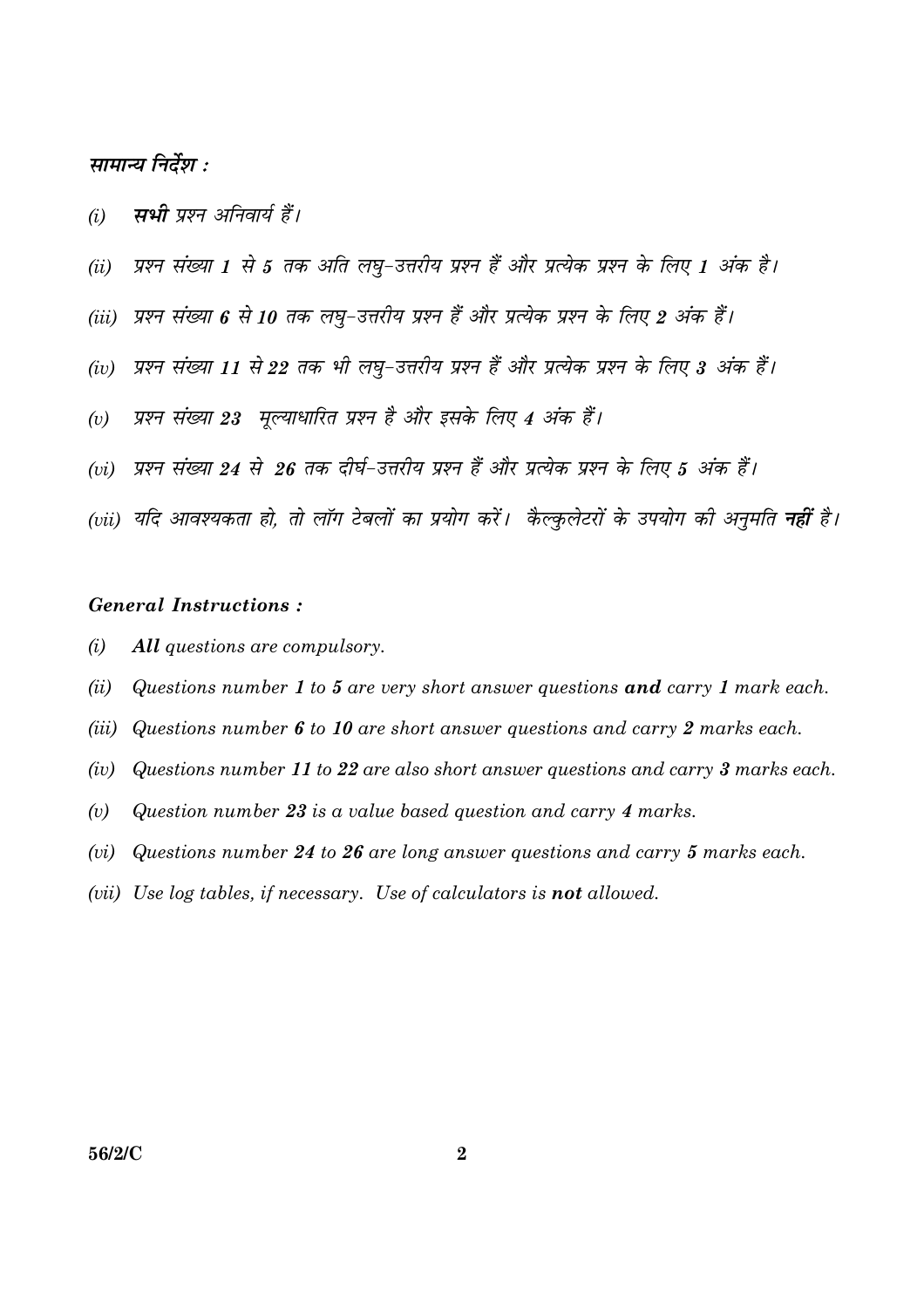### सामान्य निर्देश :

- म्पभी पृष्ठन अनिवार्य हैं।  $(i)$
- प्रश्न संख्या 1 से 5 तक अति लघु-उत्तरीय प्रश्न हैं और प्रत्येक प्रश्न के लिए 1 अंक है।  $(ii)$
- (iii) प्रश्न संख्या 6 से 10 तक लघ-उत्तरीय प्रश्न हैं और प्रत्येक प्रश्न के लिए 2 अंक हैं।
- प्रश्न संख्या 11 से 22 तक भी लघ-उत्तरीय प्रश्न हैं और प्रत्येक प्रश्न के लिए 3 अंक हैं।  $(iv)$
- प्रश्न संख्या 23 मुल्याधारित प्रश्न है और इसके लिए 4 अंक हैं।  $(v)$
- (vi) प्रश्न संख्या 24 से 26 तक दीर्घ-उत्तरीय प्रश्न हैं और प्रत्येक प्रश्न के लिए 5 अंक हैं।
- (vii) यदि आवश्यकता हो. तो लॉग टेबलों का प्रयोग करें। कैल्कलेटरों के उपयोग की अनमति **नहीं** है।

#### **General Instructions:**

- $(i)$ All questions are compulsory.
- $(ii)$ Questions number 1 to 5 are very short answer questions and carry 1 mark each.
- $(iii)$ Questions number 6 to 10 are short answer questions and carry 2 marks each.
- Questions number 11 to 22 are also short answer questions and carry 3 marks each.  $(iv)$
- Question number 23 is a value based question and carry 4 marks.  $(v)$
- Questions number 24 to 26 are long answer questions and carry 5 marks each.  $(vi)$
- (vii) Use log tables, if necessary. Use of calculators is **not** allowed.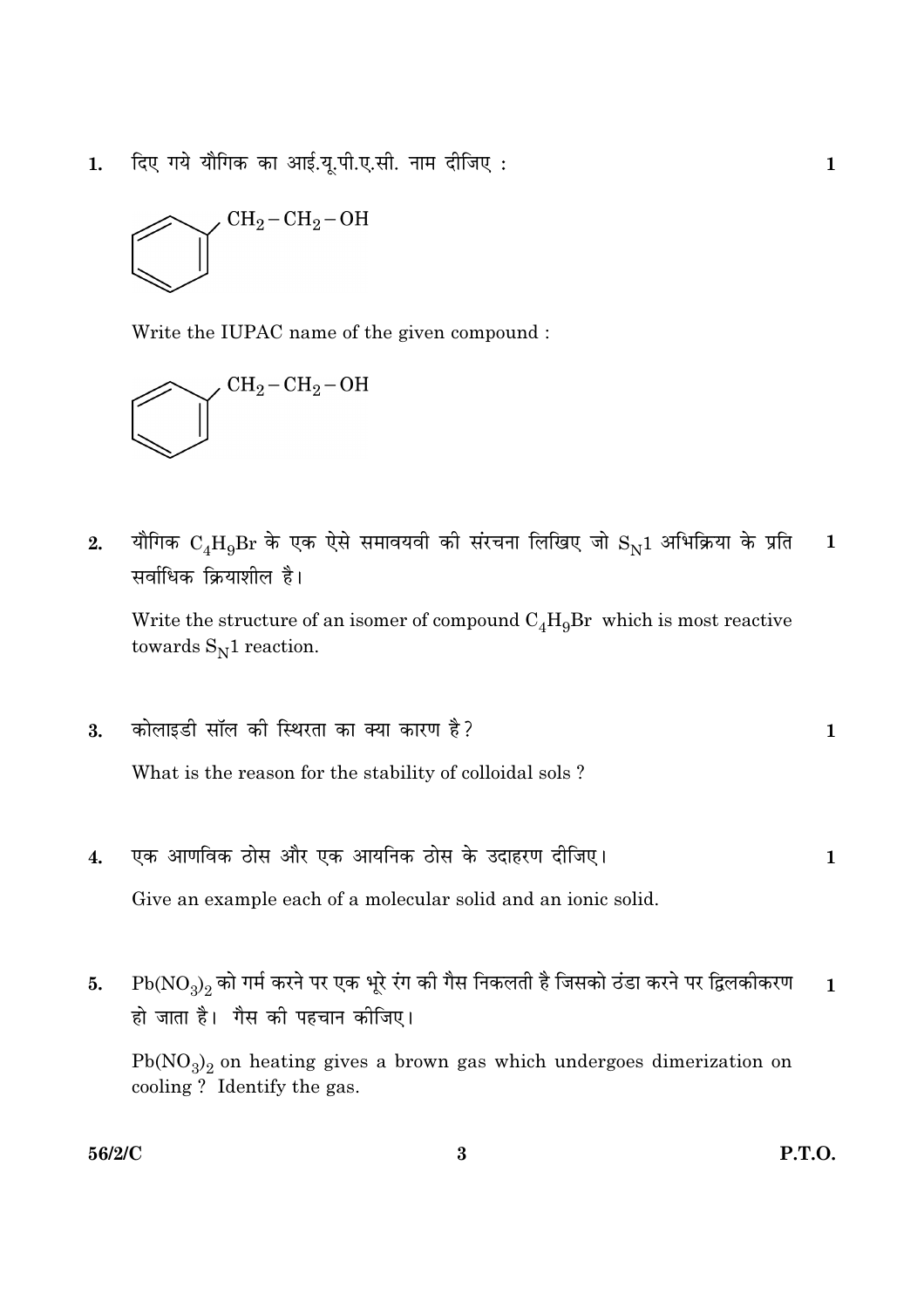दिए गये यौगिक का आई.यू.पी.ए.सी. नाम दीजिए:  $1.$ 



Write the IUPAC name of the given compound :



यौगिक  $\rm C_4H_9Br$  के एक ऐसे समावयवी की संरचना लिखिए जो  $\rm S_N1$  अभिक्रिया के प्रति  $2.$  $\mathbf{1}$ सर्वाधिक क्रियाशील है।

Write the structure of an isomer of compound  $C_A H_0 Br$  which is most reactive towards  $S_N1$  reaction.

कोलाइडी सॉल की स्थिरता का क्या कारण है? 3.  $\mathbf{1}$ 

What is the reason for the stability of colloidal sols?

एक आणविक ठोस और एक आयनिक ठोस के उदाहरण दीजिए।  $\boldsymbol{4}$ .  $\mathbf{1}$ 

Give an example each of a molecular solid and an ionic solid.

 $Pb(NO_3)_2$  को गर्म करने पर एक भूरे रंग की गैस निकलती है जिसको ठंडा करने पर द्विलकीकरण 5.  $\mathbf{1}$ हो जाता है। गैस की पहचान कीजिए।

 $Pb(NO<sub>3</sub>)<sub>2</sub>$  on heating gives a brown gas which undergoes dimerization on cooling? Identify the gas.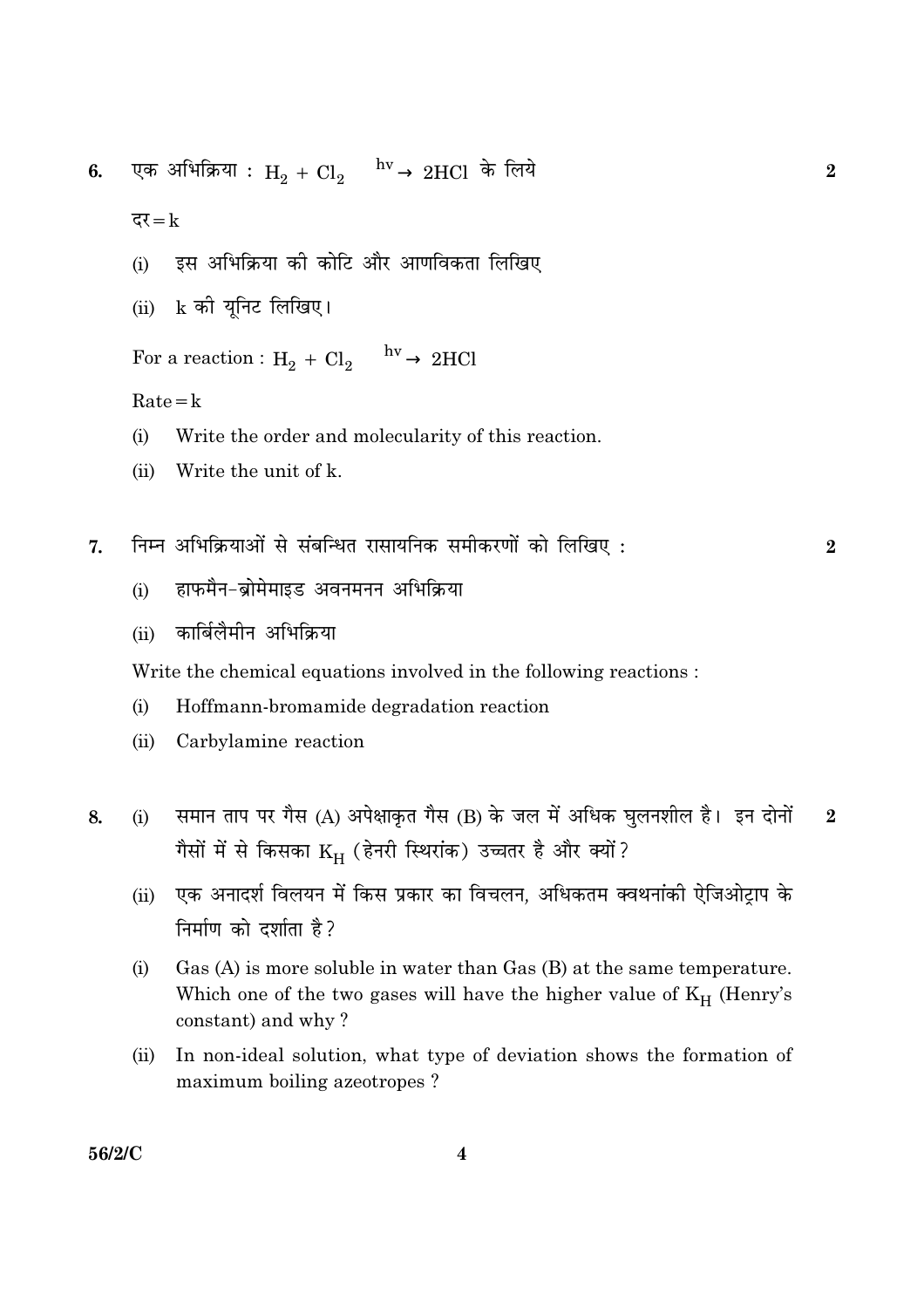एक अभिक्रिया :  $H_2 + Cl_2 \xrightarrow{hv} 2HCl$  के लिये 6.

दर $=k$ 

- इस अभिक्रिया की कोटि और आणविकता लिखिए  $(i)$
- k की यूनिट लिखिए।  $(ii)$

For a reaction :  $H_2 + Cl_2 \xrightarrow{hv} 2HCl$ 

 $Rate = k$ 

- $(i)$ Write the order and molecularity of this reaction.
- Write the unit of k.  $(ii)$
- निम्न अभिक्रियाओं से संबन्धित रासायनिक समीकरणों को लिखिए: 7.

 $\overline{2}$ 

 $\overline{2}$ 

- हाफमैन-ब्रोमेमाइड अवनमनन अभिक्रिया  $(i)$
- कार्बिलैमीन अभिक्रिया  $(ii)$

Write the chemical equations involved in the following reactions:

- Hoffmann-bromamide degradation reaction  $(i)$
- $(ii)$ Carbylamine reaction
- समान ताप पर गैस (A) अपेक्षाकृत गैस (B) के जल में अधिक घुलनशील है। इन दोनों  $(i)$  $\overline{2}$ 8. गैसों में से किसका  $\rm{K}_{H}$  (हेनरी स्थिरांक) उच्चतर है और क्यों?
	- एक अनादर्श विलयन में किस प्रकार का विचलन. अधिकतम क्वथनांकी ऐजिओटाप के  $(ii)$ निर्माण को दर्शाता है?
	- Gas  $(A)$  is more soluble in water than Gas  $(B)$  at the same temperature.  $(i)$ Which one of the two gases will have the higher value of  $K_H$  (Henry's constant) and why?
	- In non-ideal solution, what type of deviation shows the formation of  $(ii)$ maximum boiling azeotropes?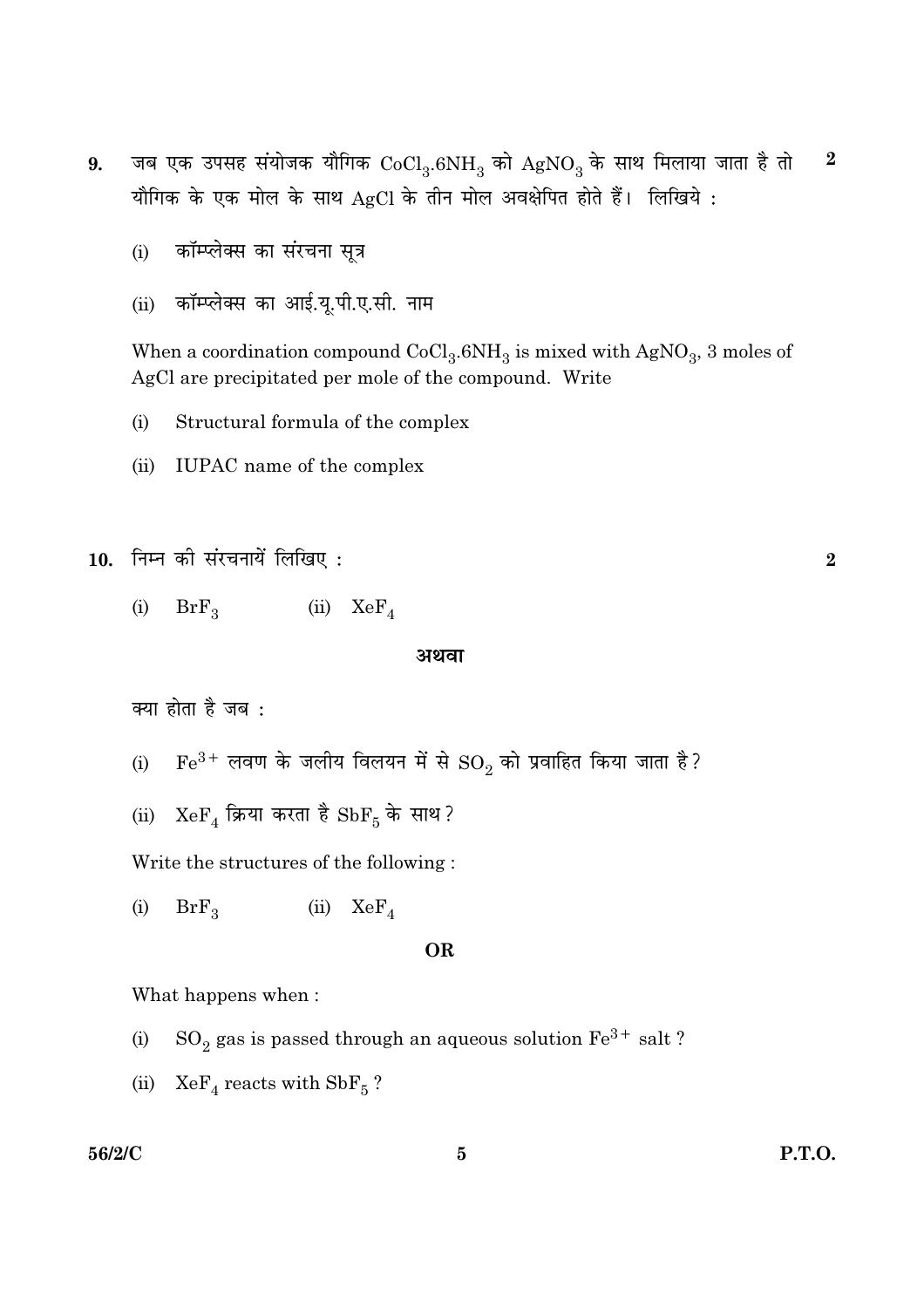- जब एक उपसह संयोजक यौगिक  $CoCl_3.6NH_3$  को  $AgNO_3$  के साथ मिलाया जाता है तो  $\boldsymbol{2}$ 9. यौगिक के एक मोल के साथ AgCl के तीन मोल अवक्षेपित होते हैं। लिखिये:
	- कॉम्प्लेक्स का संरचना सूत्र  $(i)$
	- (ii) कॉम्प्लेक्स का आई.यू.पी.ए.सी. नाम

When a coordination compound  $CoCl<sub>3</sub>$ .6NH<sub>3</sub> is mixed with AgNO<sub>3</sub>, 3 moles of AgCl are precipitated per mole of the compound. Write

- $(i)$ Structural formula of the complex
- $(ii)$ IUPAC name of the complex

```
10. निम्न की संरचनायें लिखिए:
```
 $BrF_3$  (ii)  $KeF_4$  $(i)$ 

#### अथवा

क्या होता है जब :

- $\rm Fe^{3+}$  लवण के जलीय विलयन में से  $\rm SO_2$  को प्रवाहित किया जाता है?  $(i)$
- (ii)  $XeF_4$  क्रिया करता है  $SbF_5$  के साथ?

Write the structures of the following:

 $(i)$  $BrF<sub>3</sub>$ (ii)  $XeF_A$ 

#### **OR**

What happens when:

- $\mathrm{SO}_2$  gas is passed through an aqueous solution  $\mathrm{Fe^{3+}}$  salt ?  $(i)$
- (ii)  $XeF_A$  reacts with  $SbF_5$ ?

#### 56/2/C

**P.T.O.** 

 $\overline{2}$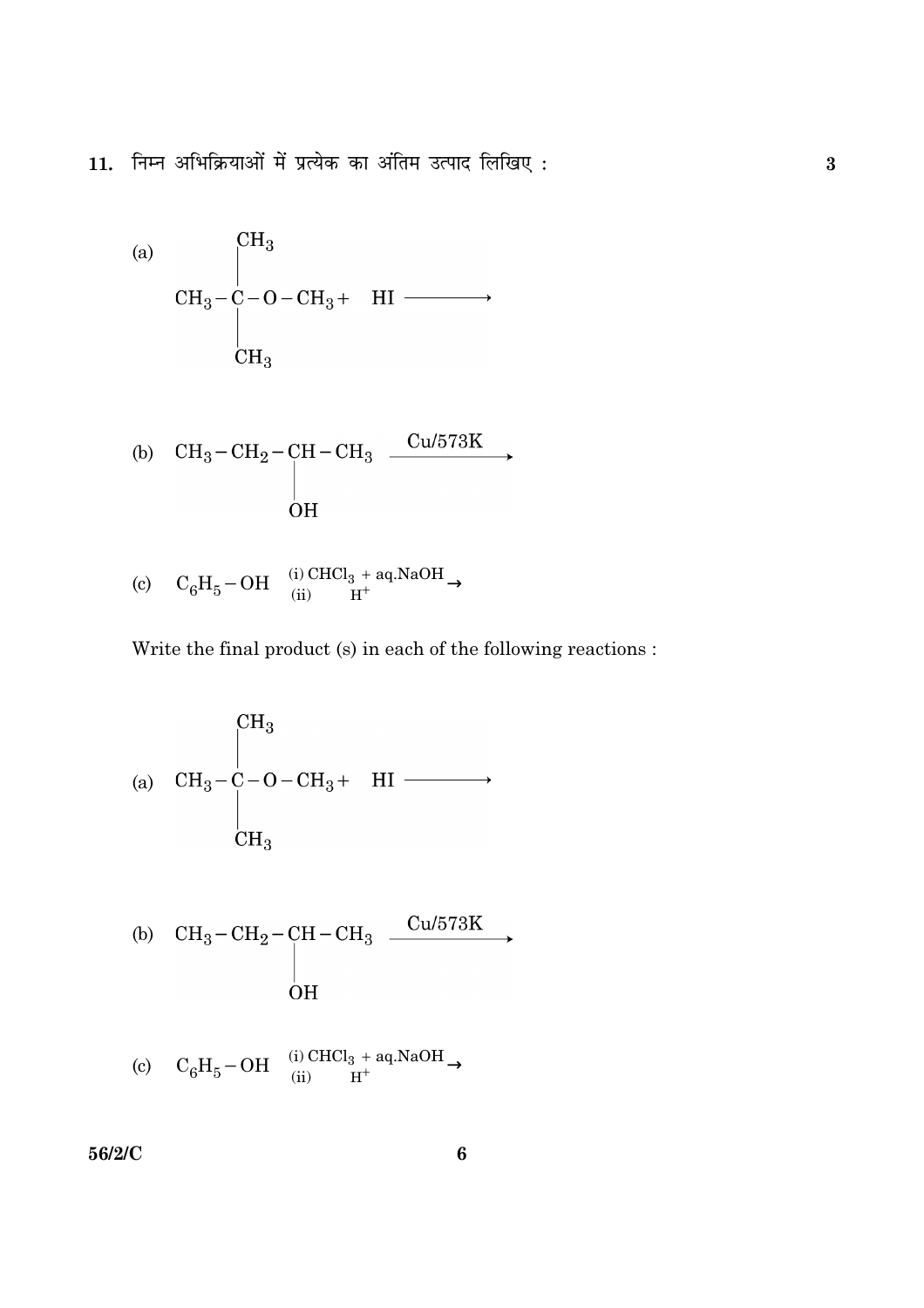11. निम्न अभिक्रियाओं में प्रत्येक का अंतिम उत्पाद लिखिए:

(a)  
\n
$$
CH_3-C-O-CH_3+
$$
 HI  $\longrightarrow$   
\n $CH_3$   
\n $CH_3$ 

(b) 
$$
\begin{array}{ccc}\n\text{CH}_3-\text{CH}_2-\text{CH}-\text{CH}_3 & \xrightarrow{\text{Cu/573K}} \\
\downarrow & & \\
\text{OH} & & \\
\end{array}
$$

(c) 
$$
C_6H_5-OH \xrightarrow{\text{(i) CHCl}_3 + \text{aq.NaOH}}
$$

Write the final product (s) in each of the following reactions :

(a) 
$$
CH_3-C-O-CH_3 + HI \longrightarrow
$$
  
\n $CH_3$   
\n $CH_3$   
\n(b)  $CH_3-CH_2-CH-CH_3 \xrightarrow{Cu/573K} OH$ 

(c) 
$$
C_6H_5-OH \xrightarrow{\text{(i) CHCl}_3 + \text{aq.NaOH}}
$$

56/2/C

 $\bf{6}$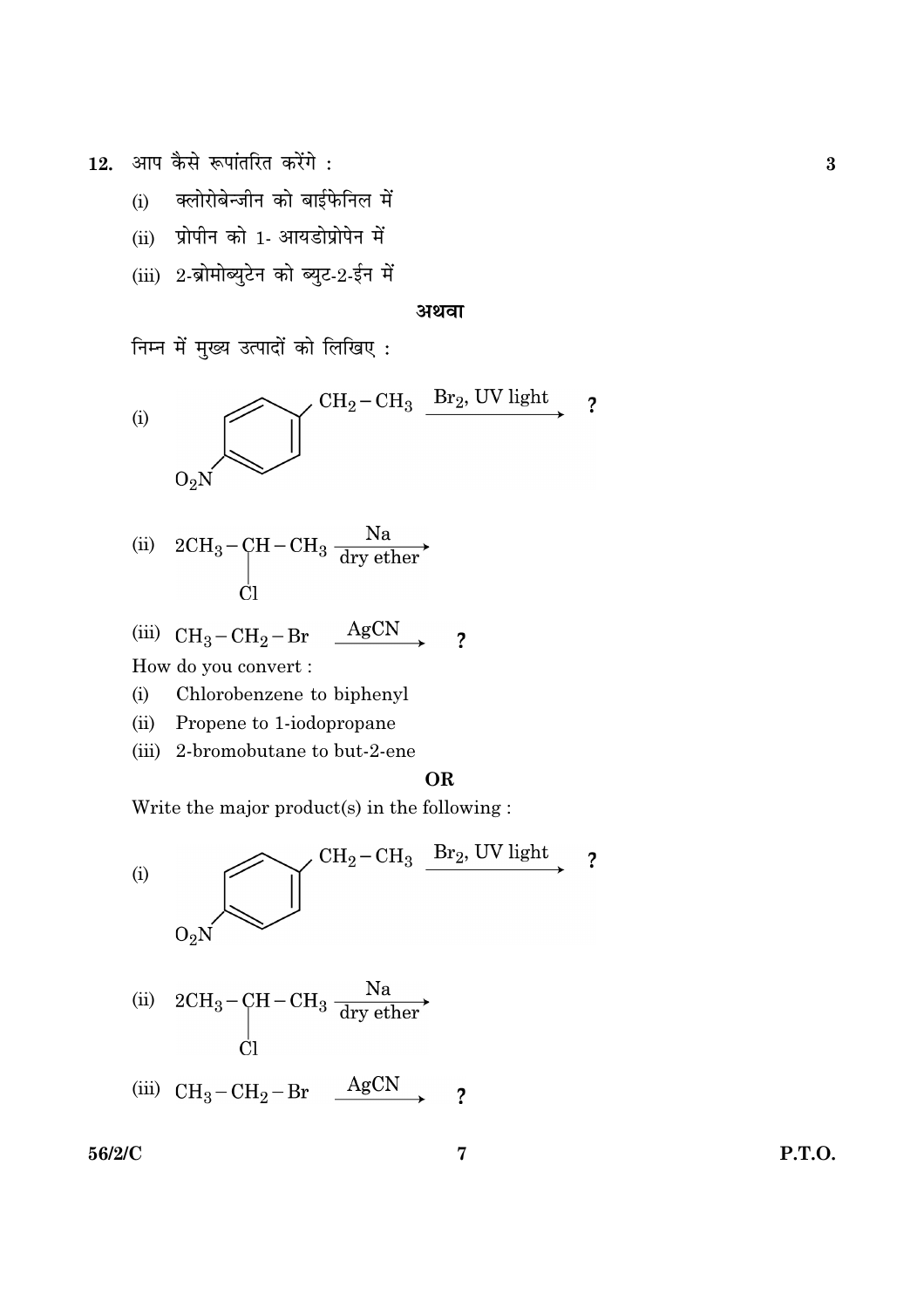आप कैसे रूपांतरित करेंगे: 12.

- क्लोरोबेन्जीन को बाईफेनिल में  $(i)$
- (ii) प्रोपीन को 1- आयडोप्रोपेन में
- (iii) 2-ब्रोमोब्युटेन को ब्युट-2-ईन में

#### अथवा

निम्न में मुख्य उत्पादों को लिखिए:



(ii) 
$$
2CH_3 - CH - CH_3 \frac{Na}{dry \text{ } \text{other}}
$$

(iii) 
$$
CH_3-CH_2-Br \xrightarrow{AgCN}
$$
 ?

How do you convert :

- Chlorobenzene to biphenyl  $(i)$
- $(ii)$ Propene to 1-iodopropane
- (iii) 2-bromobutane to but-2-ene

#### **OR**

Write the major product(s) in the following:



(iii) 
$$
CH_3-CH_2-Br \xrightarrow{AgCN}
$$
 ?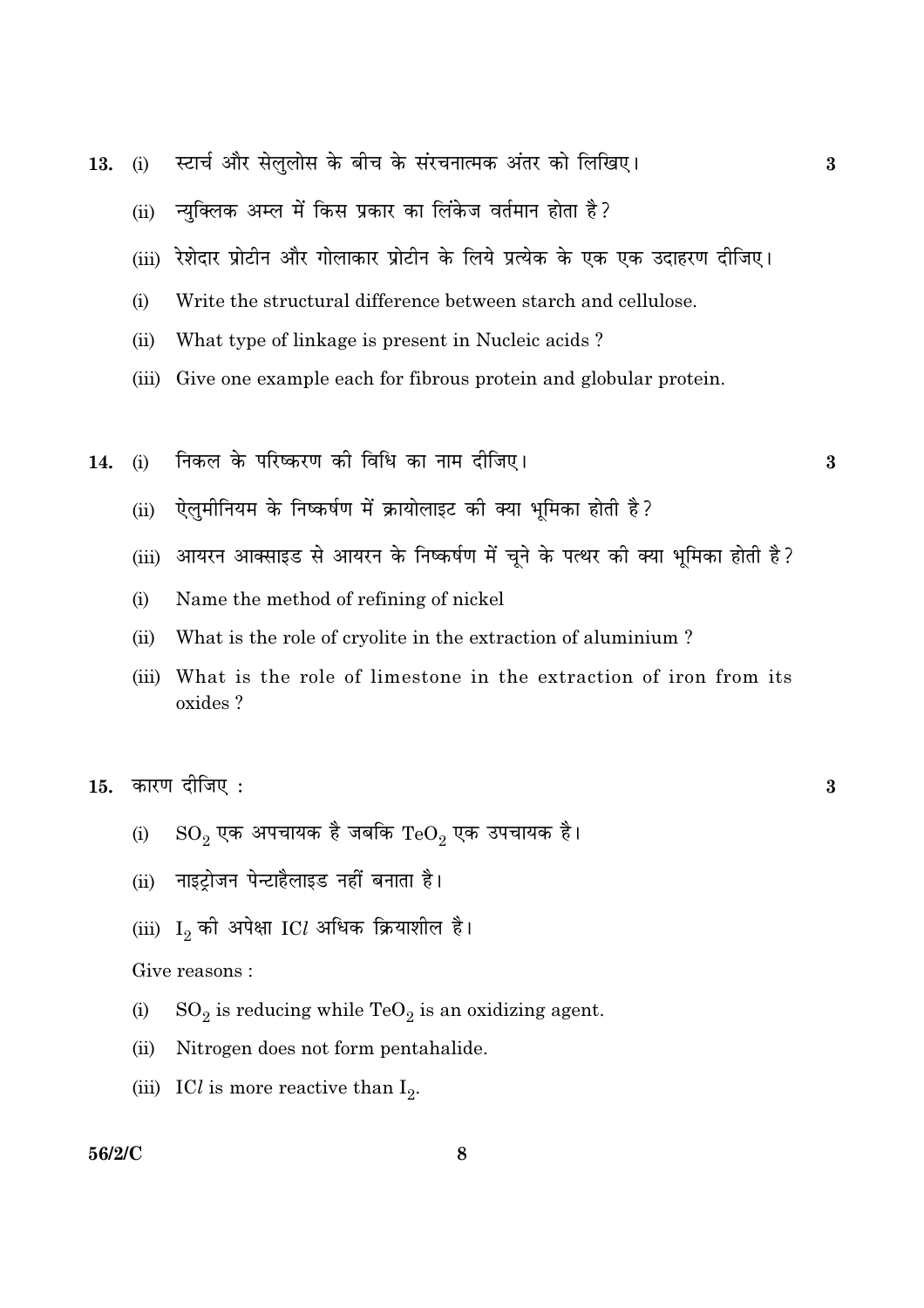- स्टार्च और सेलुलोस के बीच के संरचनात्मक अंतर को लिखिए। 13.  $(i)$ 
	- न्यक्लिक अम्ल में किस प्रकार का लिंकेज वर्तमान होता है?  $(ii)$
	- (iii) रेशेदार प्रोटीन और गोलाकार प्रोटीन के लिये प्रत्येक के एक एक उदाहरण दीजिए।
	- Write the structural difference between starch and cellulose.  $(i)$
	- What type of linkage is present in Nucleic acids?  $(ii)$
	- (iii) Give one example each for fibrous protein and globular protein.
- निकल के परिष्करण की विधि का नाम दीजिए।  $(i)$  $14.$ 
	- ऐलमीनियम के निष्कर्षण में क्रायोलाइट की क्या भमिका होती है?  $(ii)$
	- (iii) आयरन आक्साइड से आयरन के निष्कर्षण में चूने के पत्थर की क्या भूमिका होती है?
	- Name the method of refining of nickel  $(i)$
	- What is the role of cryolite in the extraction of aluminium?  $(ii)$
	- What is the role of limestone in the extraction of iron from its  $(iii)$ oxides?

कारण दीजिए : 15.

- $\mathrm{SO}_2$  एक अपचायक है जबकि  $\mathrm{TeO}_2$  एक उपचायक है।  $(i)$
- (ii) नाइटोजन पेन्टाहैलाइड नहीं बनाता है।
- (iii)  $I_2$  की अपेक्षा ICl अधिक क्रियाशील है।

#### Give reasons :

- $(i)$  $SO_2$  is reducing while TeO<sub>2</sub> is an oxidizing agent.
- Nitrogen does not form pentahalide.  $(ii)$
- (iii) ICl is more reactive than  $I_2$ .

#### 56/2/C

 $\overline{\mathbf{3}}$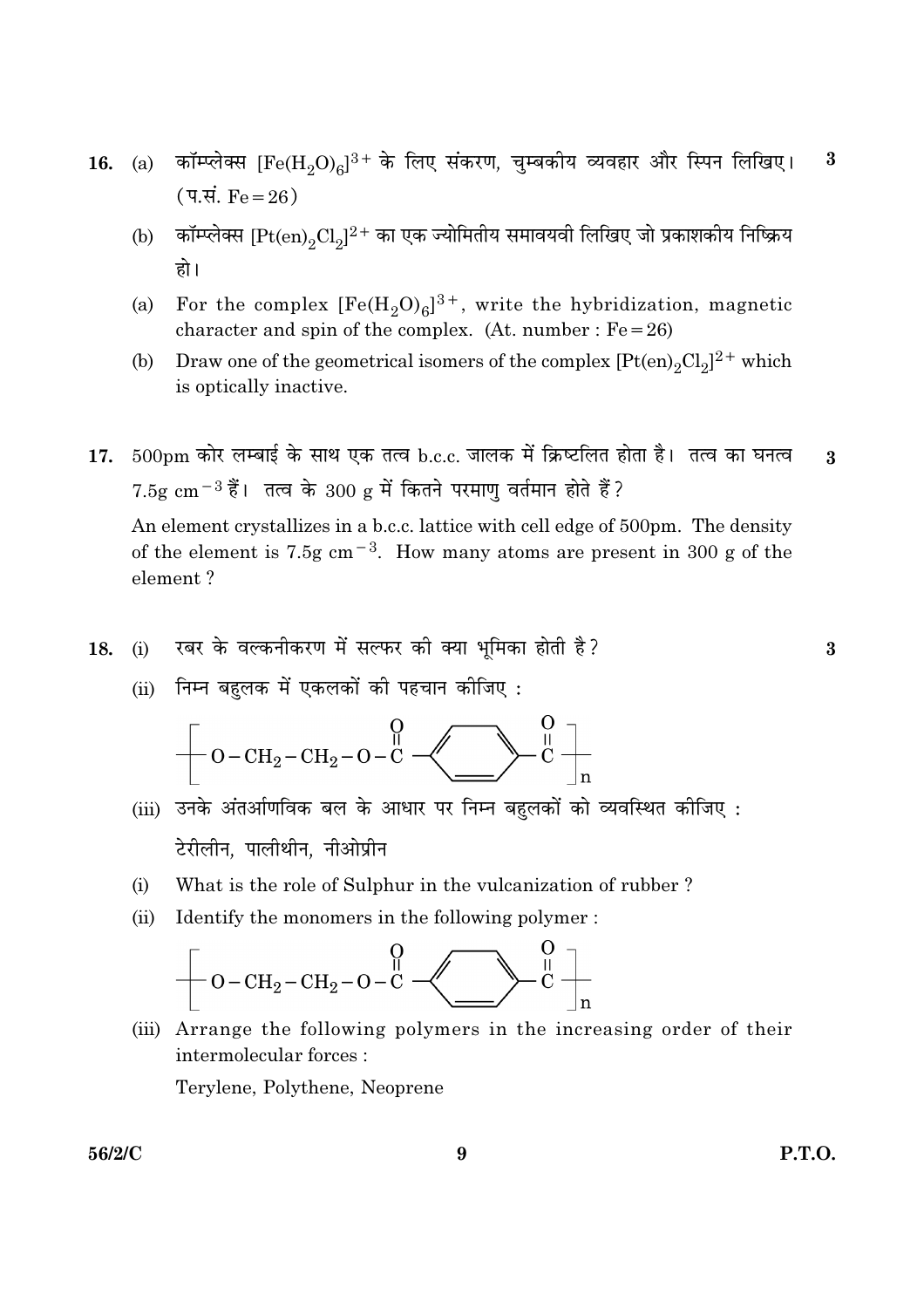- (a) कॉम्प्लेक्स  $[Fe(H_2O)_6]^3$ + के लिए संकरण, चुम्बकीय व्यवहार और स्पिन लिखिए।  $\bf{3}$ 16. (प.सं.  $Fe = 26$ )
	- कॉम्प्लेक्स  $[{\rm Pt(en)}_2{\rm Cl}_2]^{2+}$  का एक ज्योमितीय समावयवी लिखिए जो प्रकाशकीय निष्क्रिय  $(b)$ हो।
	- For the complex  $[Fe(H_2O)_6]^{3+}$ , write the hybridization, magnetic  $(a)$ character and spin of the complex. (At. number :  $Fe = 26$ )
	- Draw one of the geometrical isomers of the complex  $[Pt(en)_2Cl_2]^2$ <sup>+</sup> which (b) is optically inactive.
- $500\text{pm}$  कोर लम्बाई के साथ एक तत्व b.c.c. जालक में क्रिष्टलित होता है। तत्व का घनत्व  $17.$  $\boldsymbol{3}$  $7.5g \text{ cm}^{-3}$ हैं। तत्व के  $300 g$  में कितने परमाणु वर्तमान होते हैं?

An element crystallizes in a b.c.c. lattice with cell edge of 500pm. The density of the element is 7.5g cm<sup>-3</sup>. How many atoms are present in 300 g of the element?

- रबर के वल्कनीकरण में सल्फर की क्या भमिका होती है?  $(i)$ 18.
	- (ii) निम्न बहलक में एकलकों की पहचान कीजिए:

$$
\left.\left.\left[ \begin{array}{c} \displaystyle O -CH_2-CH_2-O-C\end{array}\right.\right.\rightleftharpoons\hspace{15pt} \begin{array}{c} \displaystyle O \\[-10pt] \displaystyle O-\left(\begin{array}{c} \displaystyle O \\[-10pt] \displaystyle O \end{array}\right) \end{array}\hspace{1mm}\right\rbrace
$$

- (iii) उनके अंतर्आणविक बल के आधार पर निम्न बहलकों को व्यवस्थित कीजिए: टेरीलीन. पालीथीन. नीओप्रीन
- What is the role of Sulphur in the vulcanization of rubber?  $(i)$
- Identify the monomers in the following polymer:  $(ii)$

(iii) Arrange the following polymers in the increasing order of their intermolecular forces:

Terylene, Polythene, Neoprene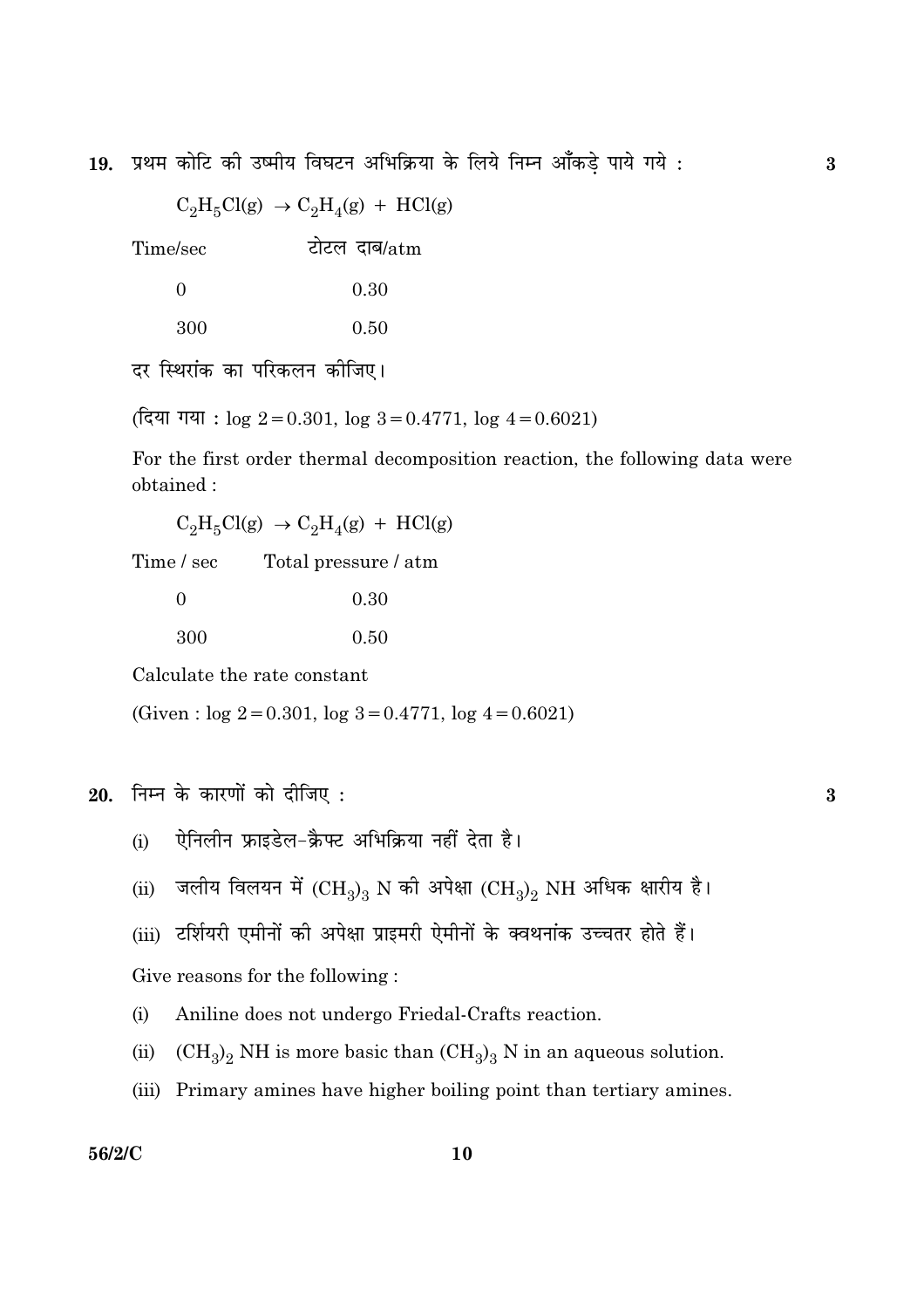प्रथम कोटि की उष्मीय विघटन अभिक्रिया के लिये निम्न आँकड़े पाये गये : 19.

 $C_2H_5Cl(g) \rightarrow C_2H_4(g) + HCl(g)$ 

टोटल दाब/atm Time/sec

| $\Omega$ | 0.30 |
|----------|------|
| 300      | 0.50 |

दर स्थिरांक का परिकलन कोजिए।

(दिया गया:  $\log 2 = 0.301$ ,  $\log 3 = 0.4771$ ,  $\log 4 = 0.6021$ )

For the first order thermal decomposition reaction, the following data were obtained:

 $C_2H_5Cl(g) \rightarrow C_2H_4(g) + HCl(g)$ 

Time / sec Total pressure / atm

| $\overline{0}$ | 0.30 |
|----------------|------|
| 300            | 0.50 |

Calculate the rate constant

(Given:  $log 2 = 0.301$ ,  $log 3 = 0.4771$ ,  $log 4 = 0.6021$ )

 $20.$  निम्न के कारणों को दीजिए:

- ऐनिलीन फ्राइडेल-क्रैफ्ट अभिक्रिया नहीं देता है।  $(i)$
- जलीय विलयन में  ${\rm (CH_3)_3}$  N की अपेक्षा  ${\rm (CH_3)_2}$  NH अधिक क्षारीय है।  $(ii)$
- (iii) टर्शियरी एमीनों की अपेक्षा प्राइमरी ऐमीनों के क्वथनांक उच्चतर होते हैं।

Give reasons for the following:

- $(i)$ Aniline does not undergo Friedal-Crafts reaction.
- ${\rm (CH_3)_2}$  NH is more basic than  ${\rm (CH_3)_3}$  N in an aqueous solution.  $(ii)$
- (iii) Primary amines have higher boiling point than tertiary amines.

#### 56/2/C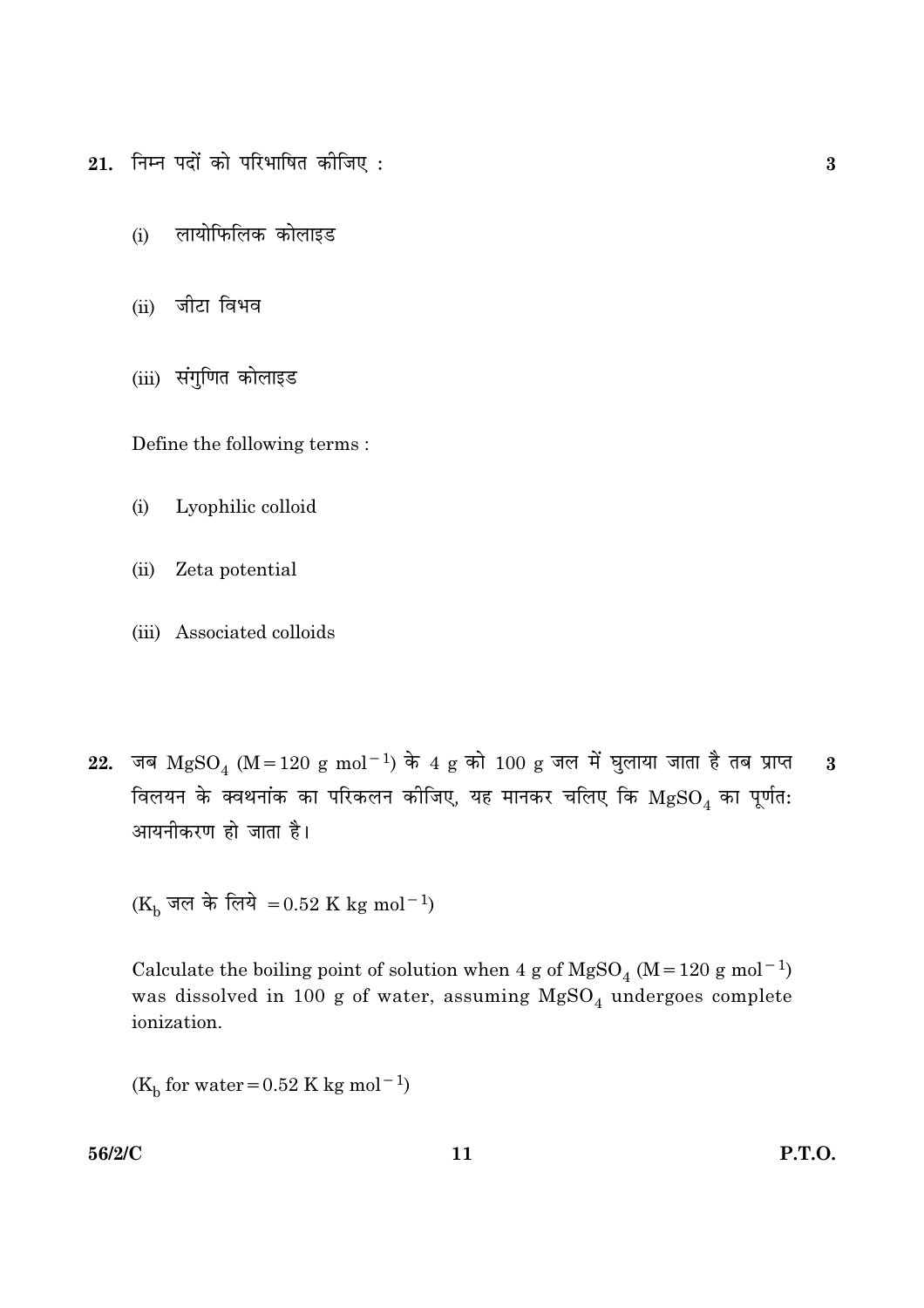$21.$  निम्न पदों को परिभाषित कीजिए:

- लायोफिलिक कोलाइड  $(i)$
- (ii) जीटा विभव
- (iii) संगुणित कोलाइड

Define the following terms:

- $(i)$ Lyophilic colloid
- Zeta potential  $(ii)$
- (iii) Associated colloids
- जब  $MgSO_4$  (M = 120 g mol<sup>-1</sup>) के 4 g को 100 g जल में घुलाया जाता है तब प्राप्त 22.  $\overline{\mathbf{3}}$ विलयन के क्वथनांक का परिकलन कोजिए, यह मानकर चलिए कि  ${\rm MgSO}_4$  का पूर्णत: आयनीकरण हो जाता है।

( $K_b$  जल के लिये = 0.52 K kg mol<sup>-1</sup>)

Calculate the boiling point of solution when 4 g of  $MgSO_4$  (M = 120 g mol<sup>-1</sup>) was dissolved in 100 g of water, assuming  $MgSO_4$  undergoes complete ionization.

 $(K_b$  for water = 0.52 K kg mol<sup>-1</sup>)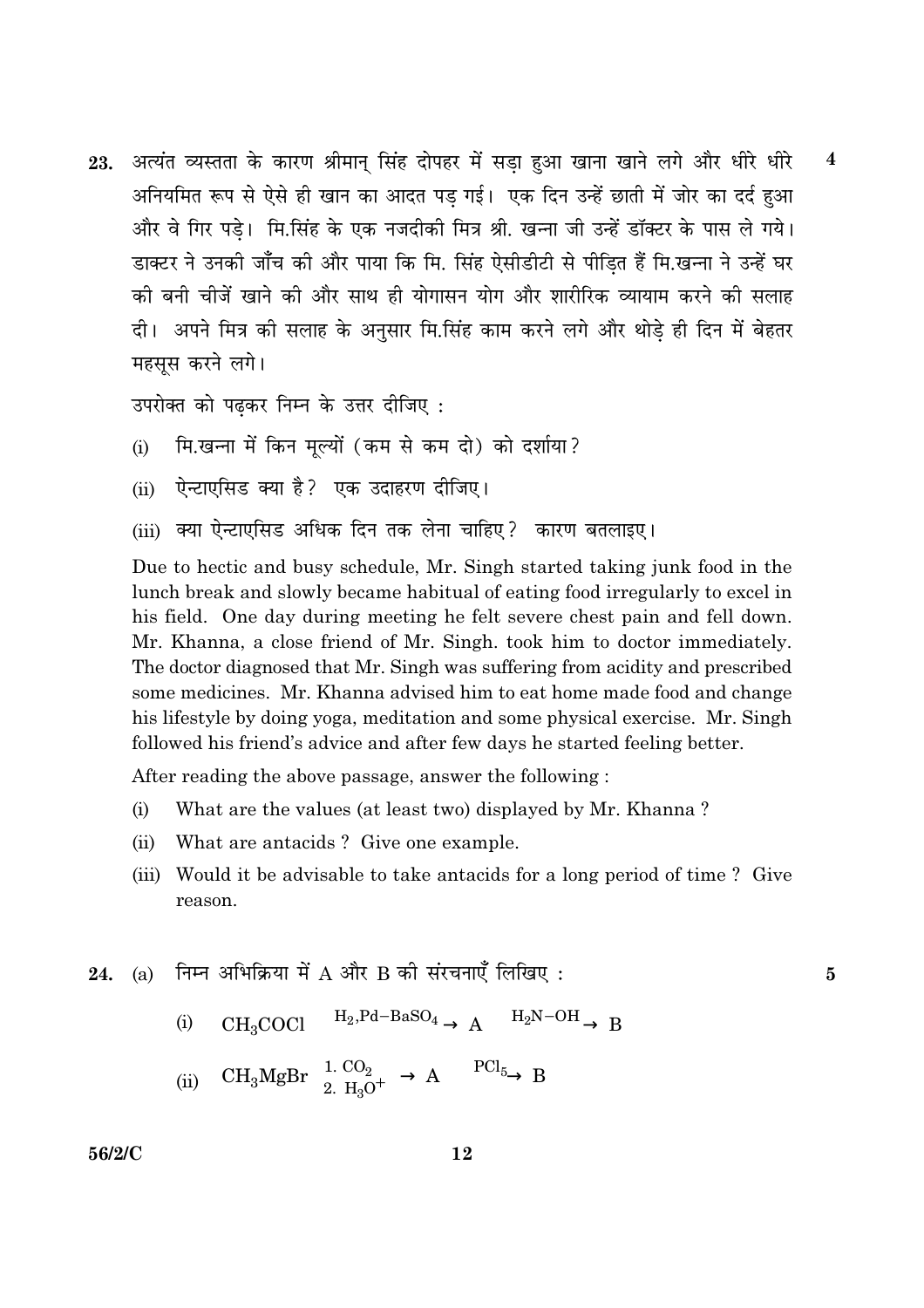अत्यंत व्यस्तता के कारण श्रीमान सिंह दोपहर में सडा हुआ खाना खाने लगे और धीरे धीरे  $\boldsymbol{4}$ 23. अनियमित रूप से ऐसे ही खान का आदत पड गई। एक दिन उन्हें छाती में जोर का दर्द हुआ और वे गिर पड़े। मि.सिंह के एक नजदीकी मित्र श्री. खन्ना जी उन्हें डॉक्टर के पास ले गये। डाक्टर ने उनकी जाँच की और पाया कि मि. सिंह ऐसीडीटी से पीडि़त हैं मि.खन्ना ने उन्हें घर की बनी चीजें खाने की और साथ ही योगासन योग और शारीरिक व्यायाम करने की सलाह दी। अपने मित्र की सलाह के अनुसार मि.सिंह काम करने लगे और थोड़े ही दिन में बेहतर महसुस करने लगे।

उपरोक्त को पढकर निम्न के उत्तर दीजिए:

- मि.खन्ना में किन मुल्यों (कम से कम दो) को दर्शाया?  $(i)$
- ऐन्टाएसिड क्या है? एक उदाहरण दीजिए।  $(ii)$
- क्या ऐन्टाएसिड अधिक दिन तक लेना चाहिए? कारण बतलाइए।  $(iii)$

Due to hectic and busy schedule, Mr. Singh started taking junk food in the lunch break and slowly became habitual of eating food irregularly to excel in his field. One day during meeting he felt severe chest pain and fell down. Mr. Khanna, a close friend of Mr. Singh. took him to doctor immediately. The doctor diagnosed that Mr. Singh was suffering from acidity and prescribed some medicines. Mr. Khanna advised him to eat home made food and change his lifestyle by doing yoga, meditation and some physical exercise. Mr. Singh followed his friend's advice and after few days he started feeling better.

After reading the above passage, answer the following:

- $(i)$ What are the values (at least two) displayed by Mr. Khanna?
- $(ii)$ What are antacids? Give one example.
- (iii) Would it be advisable to take antacids for a long period of time? Give reason.

5

- निम्न अभिक्रिया में  $A$  और  $B$  की संरचनाएँ लिखिए: **24.** (a)
	- $CH_3COCl \longrightarrow H_2$ ,  $Pd BaSO_4 \longrightarrow A \longrightarrow H_2N OH \longrightarrow B$  $(i)$
	- $\mathrm{CH_{3}MgBr} \ \xrightarrow[2. \ \mathrm{H_{3}O^{+}}]{} A \ \xrightarrow{\mathrm{PCl_{5}}} B$  $(ii)$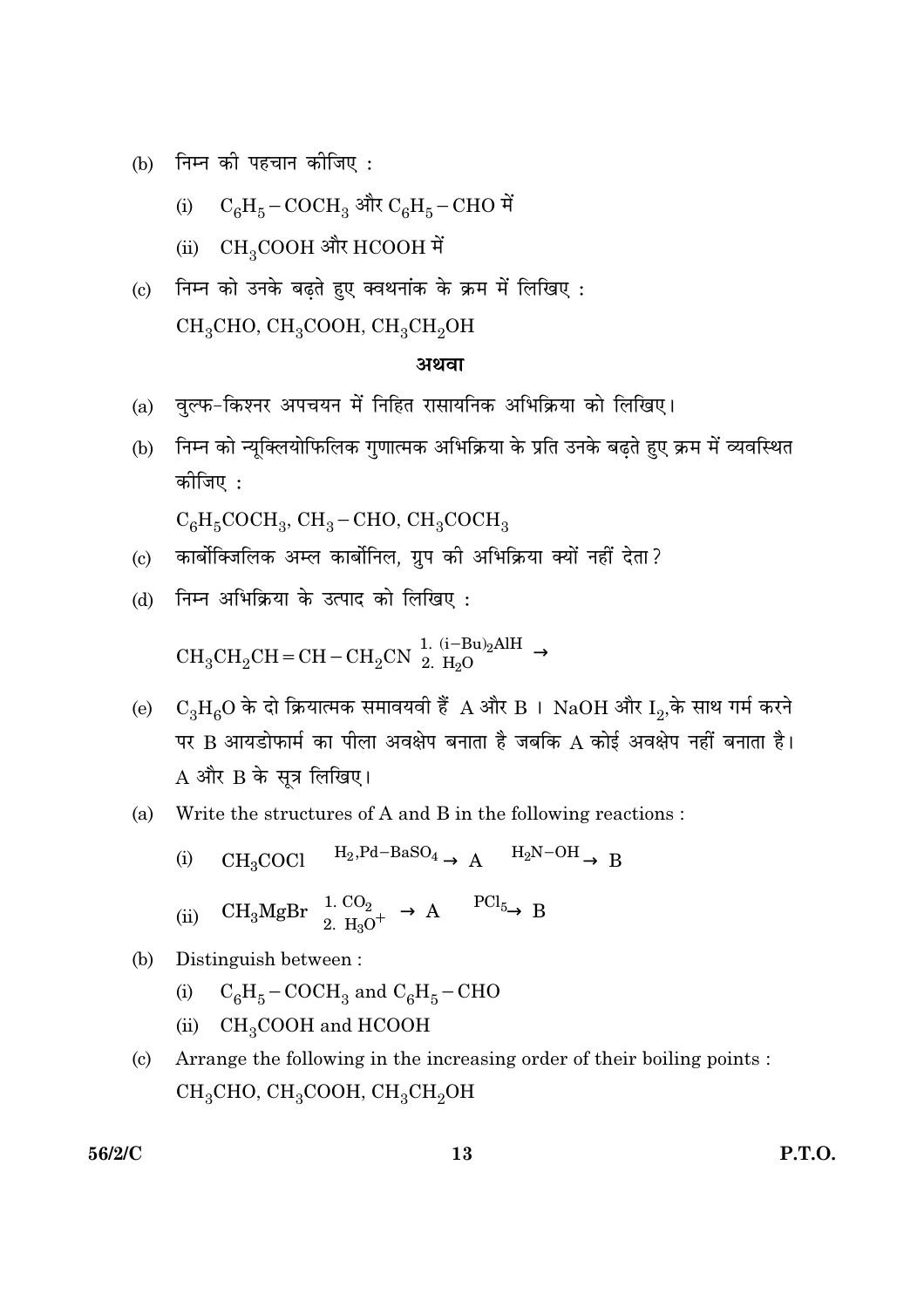(b) निम्न की पहचान कीजिए:

(i) 
$$
C_6H_5-COCH_3
$$
 और  $C_6H_5-CHO$  में

- (ii)  $CH_3COOH$  और HCOOH में
- (c) निम्न को उनके बढ़ते हुए क्वथनांक के क्रम में लिखिए:  $CH<sub>3</sub>CHO$ ,  $CH<sub>3</sub>COOH$ ,  $CH<sub>3</sub>CH<sub>2</sub>OH$

#### अथवा

- वुल्फ-किश्नर अपचयन में निहित रासायनिक अभिक्रिया को लिखिए।  $(a)$
- निम्न को न्यूक्लियोफिलिक गुणात्मक अभिक्रिया के प्रति उनके बढ़ते हुए क्रम में व्यवस्थित  $(b)$ कोजिए :

 $C_6H_5COCH_3$ , CH<sub>3</sub> – CHO, CH<sub>3</sub>COCH<sub>3</sub>

- (c) कार्बोक्जिलिक अम्ल कार्बोनिल, ग्रुप की अभिक्रिया क्यों नहीं देता?
- (d) निम्न अभिक्रिया के उत्पाद को लिखिए:

$$
\rm CH_3CH_2CH=CH-CH_2CN \xrightarrow{1. (i-Bu)_2AlH} \xrightarrow{\ } 2. H_2O
$$

- (e)  $C_3H_6O$  के दो क्रियात्मक समावयवी हैं A और B । NaOH और I<sub>2</sub>,के साथ गर्म करने पर B आयडोफार्म का पीला अवक्षेप बनाता है जबकि A कोई अवक्षेप नहीं बनाता है।  $A$  और  $B$  के सूत्र लिखिए।
- Write the structures of A and B in the following reactions: (a)

(i) 
$$
CH_3COCl \xrightarrow{H_2, Pd-BaSO_4} A \xrightarrow{H_2N-OH} B
$$

 $CH_3MgBr \xrightarrow[2, H_3O^+]{1. CO_2} A \xrightarrow[PE]{} B$  $(ii)$ 

#### $(b)$ Distinguish between:

- $C_6H_5-COCH_3$  and  $C_6H_5-CHO$  $(i)$
- $CH<sub>3</sub>COOH$  and HCOOH  $(ii)$
- Arrange the following in the increasing order of their boiling points :  $(c)$  $CH<sub>3</sub>CHO$ ,  $CH<sub>3</sub>COOH$ ,  $CH<sub>3</sub>CH<sub>2</sub>OH$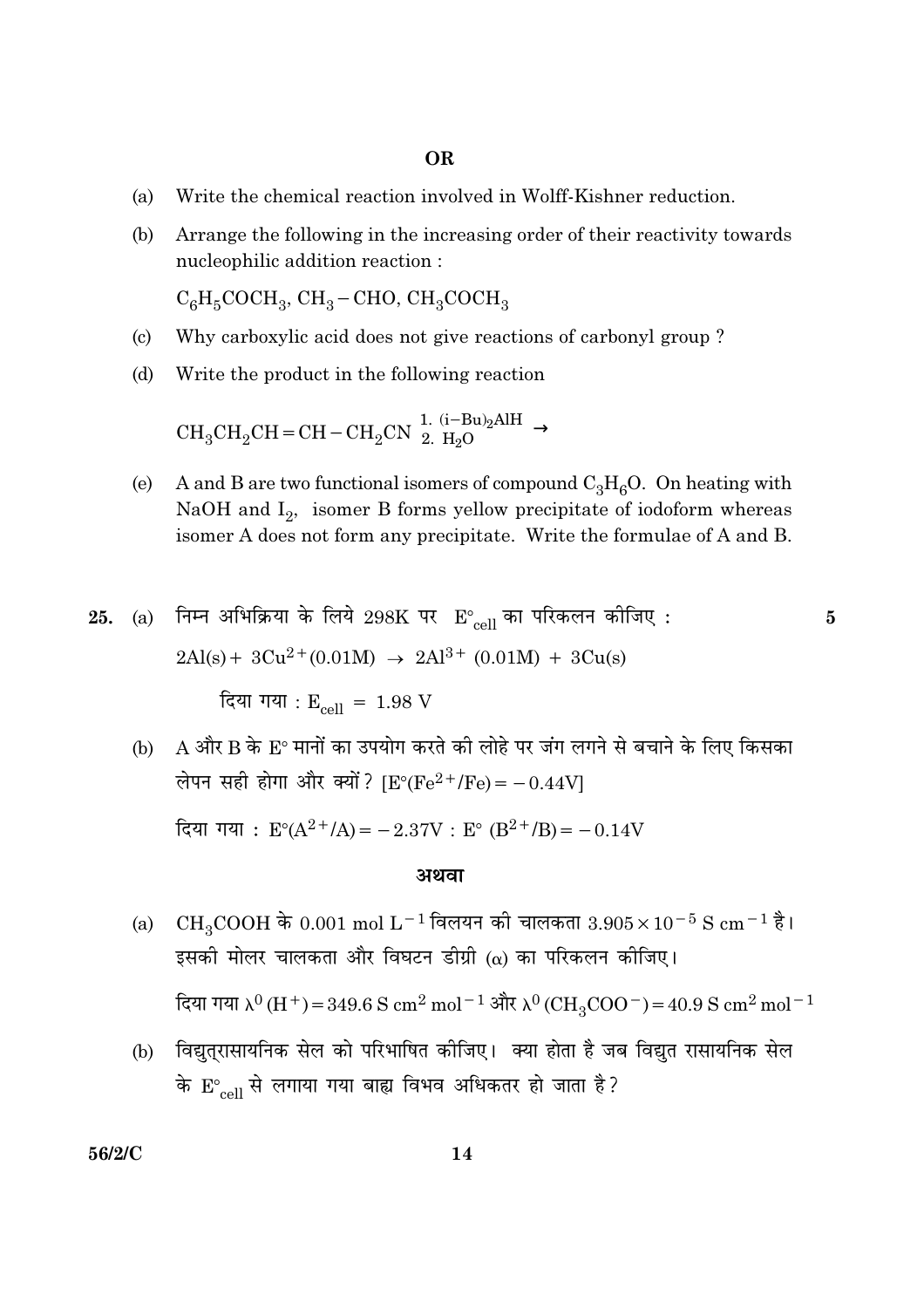#### **OR**

- $(a)$ Write the chemical reaction involved in Wolff-Kishner reduction.
- Arrange the following in the increasing order of their reactivity towards (b) nucleophilic addition reaction:

 $C_6H_5COCH_3$ ,  $CH_3$  – CHO,  $CH_3COCH_3$ 

- Why carboxylic acid does not give reactions of carbonyl group?  $\left( \mathrm{c}\right)$
- $(d)$ Write the product in the following reaction

 $\mathrm{CH_3CH_2CH=CH-CH_2CN}\xrightarrow[]{1.\,\,(i-Bu)_2\mathrm{AlH}\xrightarrow[]{\ }$ 

 $(e)$ A and B are two functional isomers of compound  $C_3H_6O$ . On heating with NaOH and  $I_2$ , isomer B forms yellow precipitate of iodoform whereas isomer A does not form any precipitate. Write the formulae of A and B.

25. (a) निम्न अभिक्रिया के लिये 298K पर 
$$
E^{\circ}_{cell}
$$
 का परिकलन कीजिए :  
2Al(s) + 3Cu<sup>2+</sup>(0.01M) → 2Al<sup>3+</sup> (0.01M) + 3Cu(s)  
दिया गया : E<sub>cell</sub> = 1.98 V

A और B के E° मानों का उपयोग करते की लोहे पर जंग लगने से बचाने के लिए किसका  $(b)$ लेपन सही होगा और क्यों? [ $E^{\circ}$ ( $Fe^{2+}/Fe$ ) = -0.44V] दिया गया :  $E^{\circ}(A^{2+}/A) = -2.37V$  :  $E^{\circ} (B^{2+}/B) = -0.14V$ 

#### अथवा

 $CH_3COOH$  के 0.001 mol L<sup>-1</sup> विलयन की चालकता 3.905 $\times$ 10<sup>-5</sup> S cm<sup>-1</sup> है।  $(a)$ इसकी मोलर चालकता और विघटन डीग्री (a) का परिकलन कीजिए।

दिया गया  $\lambda^0$  (H<sup>+</sup>) = 349.6 S cm<sup>2</sup> mol<sup>-1</sup> और  $\lambda^0$  (CH<sub>3</sub>COO<sup>-</sup>) = 40.9 S cm<sup>2</sup> mol<sup>-1</sup>

(b) विद्युत्**रासायनिक सेल को परिभाषित कीजिए। क्या** होता है जब विद्युत रासायनिक सेल के  $E_{cell}$  से लगाया गया बाह्य विभव अधिकतर हो जाता है?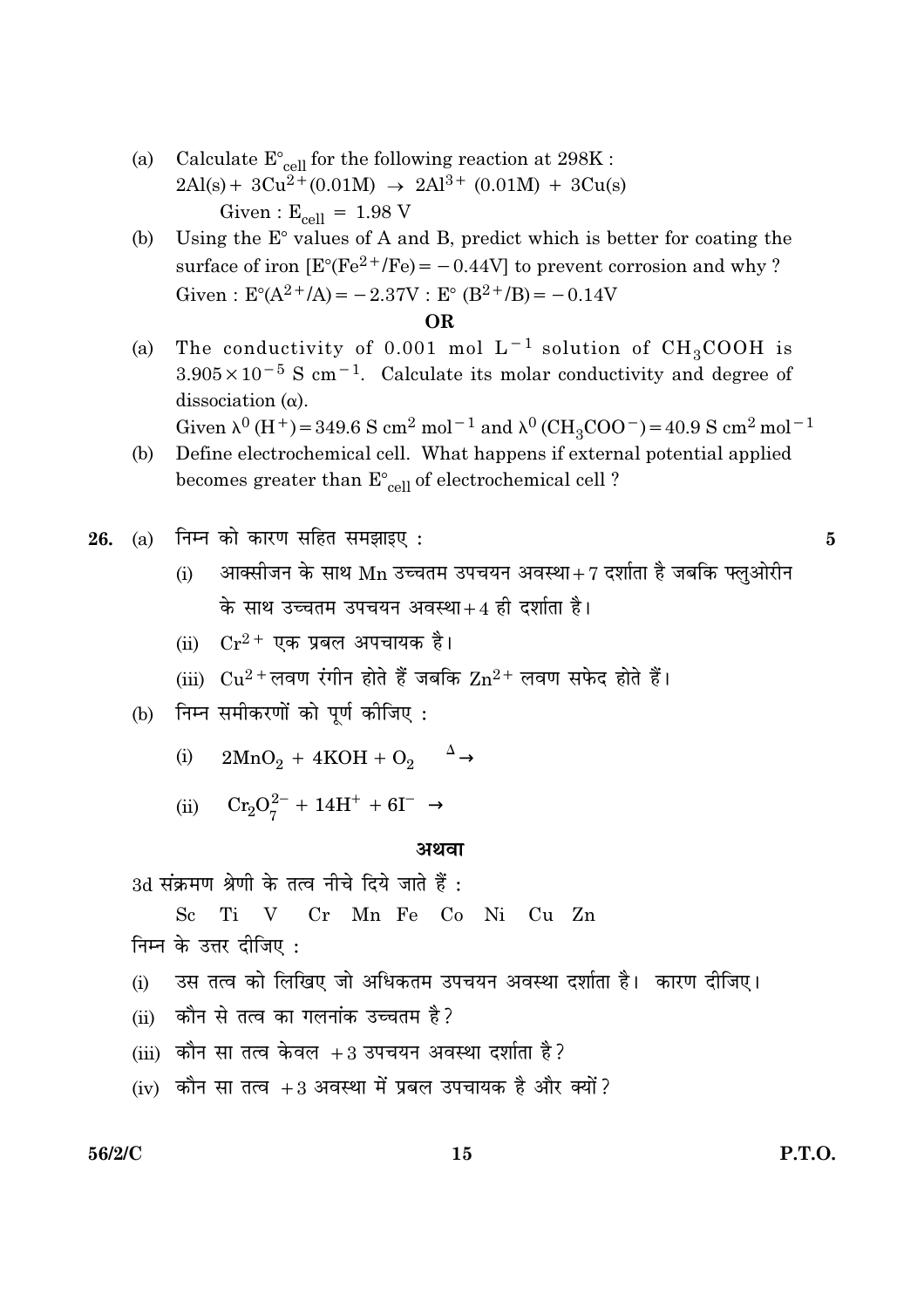- Calculate  $E_{cell}^{\circ}$  for the following reaction at 298K : (a)  $2\text{Al}(s) + 3\text{Cu}^{2+}(0.01\text{M}) \rightarrow 2\text{Al}^{3+}(0.01\text{M}) + 3\text{Cu}(s)$ Given:  $E_{cell} = 1.98 V$
- Using the  $E^{\circ}$  values of A and B, predict which is better for coating the (b) surface of iron  $[E^{\circ}(Fe^{2+}/Fe) = -0.44V]$  to prevent corrosion and why? Given:  $E^{\circ}(A^{2+}/A) = -2.37V$ :  $E^{\circ} (B^{2+}/B) = -0.14V$

#### **OR**

The conductivity of 0.001 mol  $L^{-1}$  solution of  $CH_3COOH$  is  $(a)$  $3.905 \times 10^{-5}$  S cm<sup>-1</sup>. Calculate its molar conductivity and degree of dissociation  $(\alpha)$ .

Given  $\lambda^0$  (H<sup>+</sup>) = 349.6 S cm<sup>2</sup> mol<sup>-1</sup> and  $\lambda^0$  (CH<sub>3</sub>COO<sup>-</sup>) = 40.9 S cm<sup>2</sup> mol<sup>-1</sup>

Define electrochemical cell. What happens if external potential applied (b) becomes greater than  $E_{cell}^{\circ}$  of electrochemical cell?

- (i) आक्सीजन के साथ  $\rm Mn$  उच्चतम उपचयन अवस्था $+7$  दर्शाता है जबकि फ्लओरीन के साथ उच्चतम उपचयन अवस्था+4 ही दर्शाता है।
- (ii)  $Cr^{2+}$  एक प्रबल अपचायक है।
- (iii)  $Cu^{2+}$ लवण रंगीन होते हैं जबकि  $Zn^{2+}$  लवण सफेद होते हैं।
- (b) निम्न समीकरणों को पूर्ण कीजिए:
	- $2MnO_2 + 4KOH + O_2 \xrightarrow{\Delta}$  $(i)$
	- (ii)  $Cr_2O_7^{2-} + 14H^+ + 6I^- \rightarrow$

#### अथवा

3d संक्रमण श्रेणी के तत्व नीचे दिये जाते हैं :

Ti V Cr Mn Fe Co Ni Cu Zn  $S_{c}$ 

निम्न के उत्तर दीजिए:

- उस तत्व को लिखिए जो अधिकतम उपचयन अवस्था दर्शाता है। कारण दीजिए।  $(i)$
- (ii) कौन से तत्व का गलनांक उच्चतम है?
- (iii) कौन सा तत्व केवल +3 उपचयन अवस्था दर्शाता है?
- (iv) कौन सा तत्व +3 अवस्था में प्रबल उपचायक है और क्यों?

#### 56/2/C

 $\overline{5}$